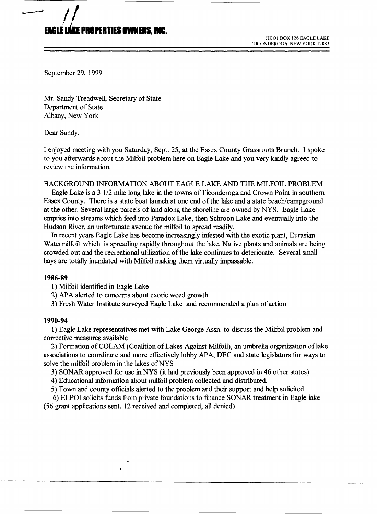# **ElG1E.E 'IO'EITIES OMEII, INC.**

HCOI BOX 126 EAGLE LAKE TICONDEROGA, NEW YORK 12883

September 29, 1999

<sup>~</sup>*1/* 

Mr. Sandy Treadwell, Secretary of State Department of State Albany, New York

Dear Sandy,

I enjoyed meeting with you Saturday, Sept. 25, at the Essex County Grassroots Brunch. I spoke to you afterwards about the Milfoil problem here on Eagle Lake and you very kindly agreed to review the information.

## BACKGROUND INFORMATION ABOUT EAGLE LAKE AND THE MILFOIL PROBLEM

Eagle Lake is a 3 1/2 mile long lake in the towns of Ticonderoga and Crown Point in southern Essex County. There is a state boat launch at one end of the lake and a state beach/campground at the other. Several large parcels of land along the shoreline are owned by NYS. Eagle Lake empties into streams which feed into Paradox Lake, then Schroon Lake and eventually into the Hudson River, an unfortunate avenue for milfoil to spread readily.

In recent years Eagle Lake has become increasingly infested with the exotic plant, Eurasian Watermilfoil which is spreading rapidly throughout the lake. Native plants and animals are being crowded out and the recreational utilization of the lake continues to deteriorate. Several small bays are totally inundated with Milfoil making them virtually impassable.

### **1986-89**

1) Milfoil identified in Eagle Lake

2) APA alerted to concerns about exotic weed growth

3) Fresh Water Institute surveyed Eagle Lake and recommended a plan of action

## **1990-94**

1) Eagle Lake representatives met with Lake George Assn. to discuss the Milfoil problem and corrective measures available

2) Formation of COLAM (Coalition of Lakes Against Milfoil), an umbrella organization of lake associations to coordinate and more effectively lobby APA, DEC and state legislators for ways to solve the milfoil problem in the lakes of NYS

3) SONAR approved for use in NYS (it had previously been approved in 46 other states)

4) Educational information about milfoil problem collected and distributed.

5) Town and county officials alerted to the problem and their support and help solicited.

6) ELPOI solicits funds from private foundations to finance SONAR treatment in Eagle lake (56 grant applications sent, 12 received and completed, all denied)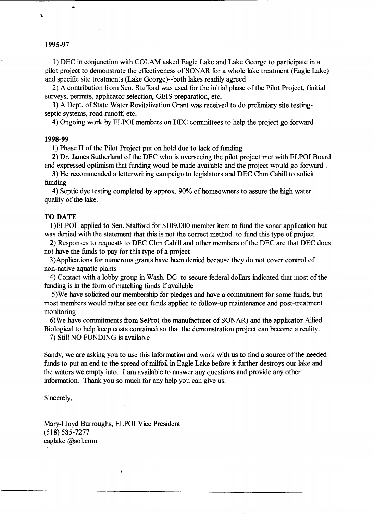# **1995-97**

..

1) DEC in conjunction with COLAM asked Eagle Lake and Lake George to participate in a pilot project to demonstrate the effectiveness of SONAR for a whole lake treatment (Eagle Lake) and specific site treatments (Lake George)--both lakes readily agreed

2) A contribution from Sen. Stafford was used for the initial phase of the Pilot Project, (initial surveys, permits, applicator selection, GElS preparation, etc.

3) A Dept. of State Water Revitalization Grant was received to do prelimiary site testingseptic systems, road runoff, etc.

4) Ongoing work by ELPOI members on DEC committees to help the project go forward

## **1998-99**

1) Phase II of the Pilot Project put on hold due to lack of funding

2) Dr. James Sutherland of the DEC who is overseeing the pilot project met with ELPOI Board and expressed optimism that funding woud be made available and the project would go forward.

3) He recommended a letterwriting campaign to legislators and DEC Chm Cahill to solicit funding

4) Septic dye testing completed byapprox. 90% of homeowners to assure the high water quality of the lake.

## TO DATE

I)ELPOI applied to Sen. Stafford for \$109,000 member item to fund the sonar application but was denied with the statement that this is not the correct method to fund this type of project

2) Responses to requests to DEC Chm Cahill and other members of the DEC are that DEC does not have the funds to pay for this type of a project

3)Applications for numerous grants have been denied because they do not cover control of non-native aquatic plants

4) Contact with a lobby group in Wash. DC to secure federal dollars indicated that most of the funding is in the form of matching funds if available

5)We have solicited our membership for pledges and have a commitment for some funds, but most members would rather see our funds applied to follow-up maintenance and post-treatment monitoring

6)We have commitments from SePro( the manufacturer of SONAR) and the applicator Allied Biological to help keep costs contained so that the demonstration project can become a reality.

7) Still NO FUNDING is available

Sandy, we are asking you to use this information and work with us to find a source of the needed funds to put an end to the spread of milfoil in Eagle Lake before it further destroys our lake and the waters we empty into. I am available to answer any questions and provide any other information. Thank you so much for any help you can give us.

### Sincerely,

Mary-Lloyd Burroughs, ELPOI Vice President (518) 585-7277 eaglake @aol.com